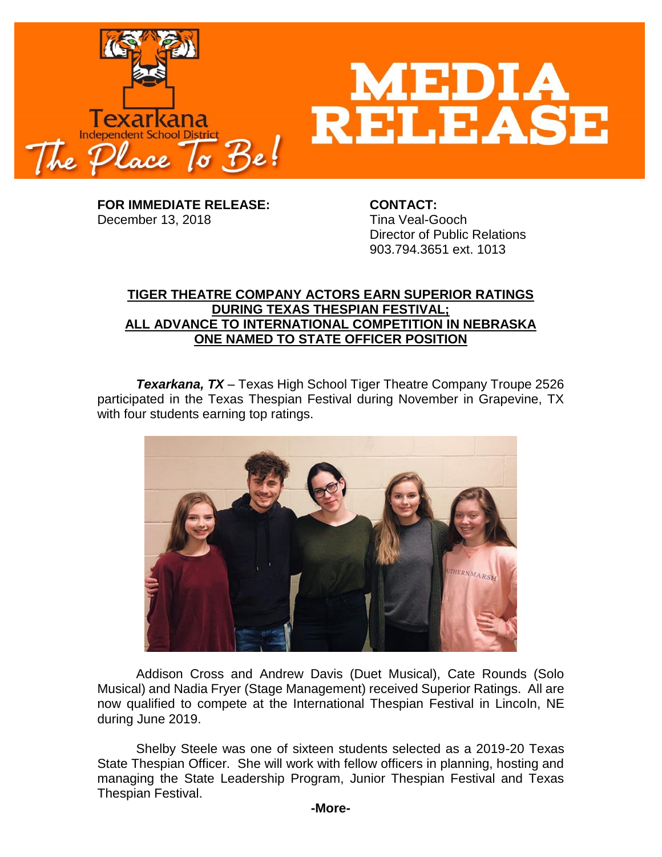

**FOR IMMEDIATE RELEASE: CONTACT:** December 13, 2018 Tina Veal-Gooch

Director of Public Relations 903.794.3651 ext. 1013

## **TIGER THEATRE COMPANY ACTORS EARN SUPERIOR RATINGS DURING TEXAS THESPIAN FESTIVAL; ALL ADVANCE TO INTERNATIONAL COMPETITION IN NEBRASKA ONE NAMED TO STATE OFFICER POSITION**

*Texarkana, TX* – Texas High School Tiger Theatre Company Troupe 2526 participated in the Texas Thespian Festival during November in Grapevine, TX with four students earning top ratings.



Addison Cross and Andrew Davis (Duet Musical), Cate Rounds (Solo Musical) and Nadia Fryer (Stage Management) received Superior Ratings. All are now qualified to compete at the International Thespian Festival in Lincoln, NE during June 2019.

Shelby Steele was one of sixteen students selected as a 2019-20 Texas State Thespian Officer. She will work with fellow officers in planning, hosting and managing the State Leadership Program, Junior Thespian Festival and Texas Thespian Festival.